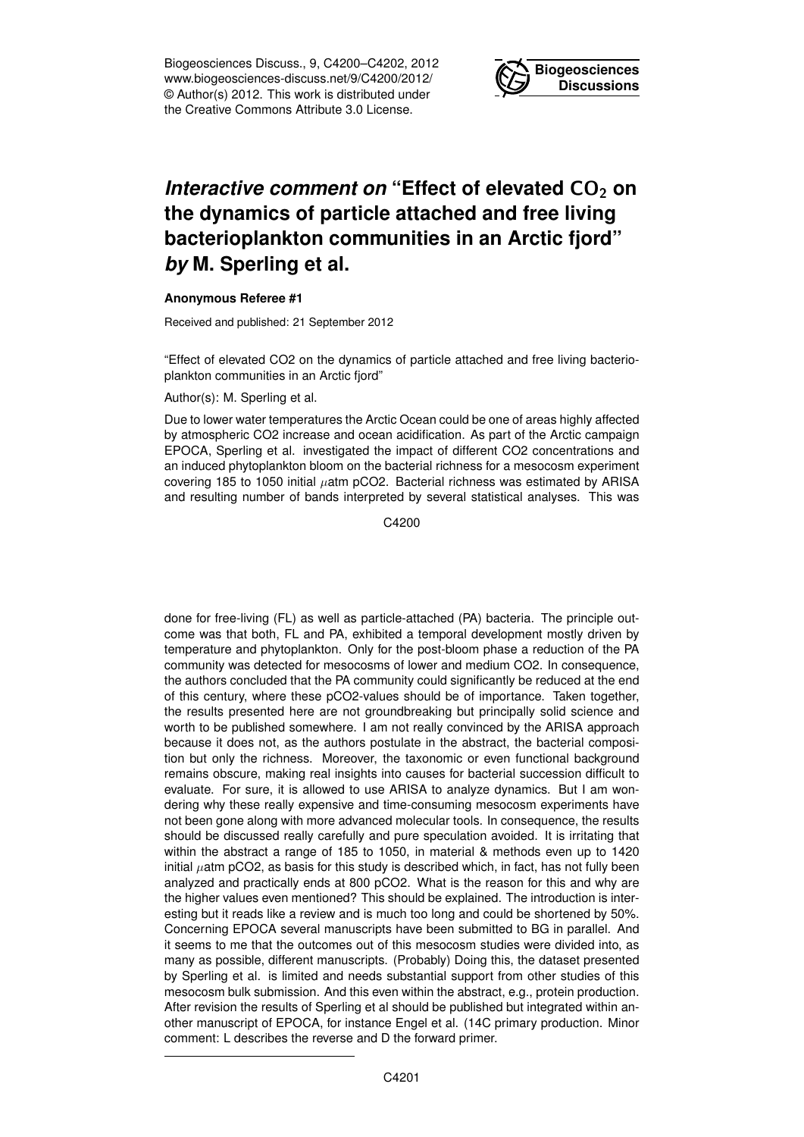Biogeosciences Discuss., 9, C4200–C4202, 2012 www.biogeosciences-discuss.net/9/C4200/2012/ © Author(s) 2012. This work is distributed under the Creative Commons Attribute 3.0 License.



## *Interactive comment on* "Effect of elevated CO<sub>2</sub> on **the dynamics of particle attached and free living bacterioplankton communities in an Arctic fjord"** *by* **M. Sperling et al.**

## **Anonymous Referee #1**

Received and published: 21 September 2012

"Effect of elevated CO2 on the dynamics of particle attached and free living bacterioplankton communities in an Arctic fjord"

Author(s): M. Sperling et al.

Due to lower water temperatures the Arctic Ocean could be one of areas highly affected by atmospheric CO2 increase and ocean acidification. As part of the Arctic campaign EPOCA, Sperling et al. investigated the impact of different CO2 concentrations and an induced phytoplankton bloom on the bacterial richness for a mesocosm experiment covering 185 to 1050 initial  $\mu$ atm pCO2. Bacterial richness was estimated by ARISA and resulting number of bands interpreted by several statistical analyses. This was

C4200

done for free-living (FL) as well as particle-attached (PA) bacteria. The principle outcome was that both, FL and PA, exhibited a temporal development mostly driven by temperature and phytoplankton. Only for the post-bloom phase a reduction of the PA community was detected for mesocosms of lower and medium CO2. In consequence, the authors concluded that the PA community could significantly be reduced at the end of this century, where these pCO2-values should be of importance. Taken together, the results presented here are not groundbreaking but principally solid science and worth to be published somewhere. I am not really convinced by the ARISA approach because it does not, as the authors postulate in the abstract, the bacterial composition but only the richness. Moreover, the taxonomic or even functional background remains obscure, making real insights into causes for bacterial succession difficult to evaluate. For sure, it is allowed to use ARISA to analyze dynamics. But I am wondering why these really expensive and time-consuming mesocosm experiments have not been gone along with more advanced molecular tools. In consequence, the results should be discussed really carefully and pure speculation avoided. It is irritating that within the abstract a range of 185 to 1050, in material & methods even up to 1420  $initial$   $\mu$ atm pCO2, as basis for this study is described which, in fact, has not fully been analyzed and practically ends at 800 pCO2. What is the reason for this and why are the higher values even mentioned? This should be explained. The introduction is interesting but it reads like a review and is much too long and could be shortened by 50%. Concerning EPOCA several manuscripts have been submitted to BG in parallel. And it seems to me that the outcomes out of this mesocosm studies were divided into, as many as possible, different manuscripts. (Probably) Doing this, the dataset presented by Sperling et al. is limited and needs substantial support from other studies of this mesocosm bulk submission. And this even within the abstract, e.g., protein production. After revision the results of Sperling et al should be published but integrated within another manuscript of EPOCA, for instance Engel et al. (14C primary production. Minor comment: L describes the reverse and D the forward primer.